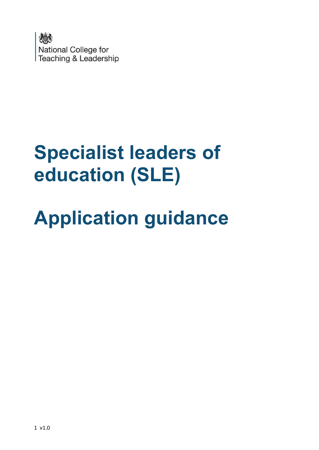

## **Specialist leaders of education (SLE)**

# **Application guidance**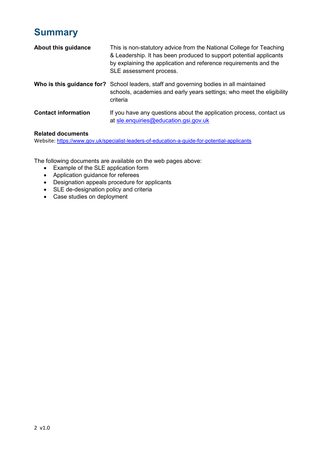### **Summary**

| About this guidance        | This is non-statutory advice from the National College for Teaching<br>& Leadership. It has been produced to support potential applicants<br>by explaining the application and reference requirements and the<br>SLE assessment process. |
|----------------------------|------------------------------------------------------------------------------------------------------------------------------------------------------------------------------------------------------------------------------------------|
|                            | <b>Who is this guidance for?</b> School leaders, staff and governing bodies in all maintained<br>schools, academies and early years settings; who meet the eligibility<br>criteria                                                       |
| <b>Contact information</b> | If you have any questions about the application process, contact us<br>at sle.enquiries@education.gsi.gov.uk                                                                                                                             |

#### **Related documents**

Website: <https://www.gov.uk/specialist-leaders-of-education-a-guide-for-potential-applicants>

The following documents are available on the web pages above:

- Example of the SLE application form
- Application guidance for referees
- Designation appeals procedure for applicants
- SLE de-designation policy and criteria
- Case studies on deployment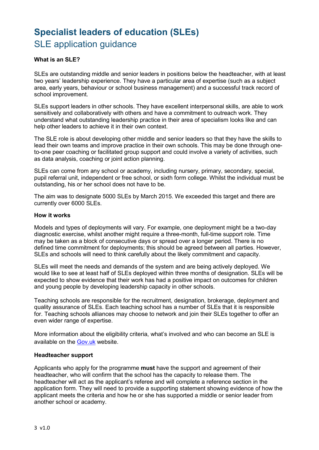## **Specialist leaders of education (SLEs)**  SLE application guidance

#### **What is an SLE?**

SLEs are outstanding middle and senior leaders in positions below the headteacher, with at least two years' leadership experience. They have a particular area of expertise (such as a subject area, early years, behaviour or school business management) and a successful track record of school improvement.

SLEs support leaders in other schools. They have excellent interpersonal skills, are able to work sensitively and collaboratively with others and have a commitment to outreach work. They understand what outstanding leadership practice in their area of specialism looks like and can help other leaders to achieve it in their own context.

The SLE role is about developing other middle and senior leaders so that they have the skills to lead their own teams and improve practice in their own schools. This may be done through oneto-one peer coaching or facilitated group support and could involve a variety of activities, such as data analysis, coaching or joint action planning.

SLEs can come from any school or academy, including nursery, primary, secondary, special, pupil referral unit, independent or free school, or sixth form college. Whilst the individual must be outstanding, his or her school does not have to be.

The aim was to designate 5000 SLEs by March 2015. We exceeded this target and there are currently over 6000 SLEs.

#### **How it works**

Models and types of deployments will vary. For example, one deployment might be a two-day diagnostic exercise, whilst another might require a three-month, full-time support role. Time may be taken as a block of consecutive days or spread over a longer period. There is no defined time commitment for deployments; this should be agreed between all parties. However, SLEs and schools will need to think carefully about the likely commitment and capacity.

SLEs will meet the needs and demands of the system and are being actively deployed. We would like to see at least half of SLEs deployed within three months of designation. SLEs will be expected to show evidence that their work has had a positive impact on outcomes for children and young people by developing leadership capacity in other schools.

Teaching schools are responsible for the recruitment, designation, brokerage, deployment and quality assurance of SLEs. Each teaching school has a number of SLEs that it is responsible for. Teaching schools alliances may choose to network and join their SLEs together to offer an even wider range of expertise.

More information about the eligibility criteria, what's involved and who can become an SLE is available on the [Gov.uk](https://www.gov.uk/specialist-leaders-of-education-a-guide-for-potential-applicants) website.

#### **Headteacher support**

Applicants who apply for the programme **must** have the support and agreement of their headteacher, who will confirm that the school has the capacity to release them. The headteacher will act as the applicant's referee and will complete a reference section in the application form. They will need to provide a supporting statement showing evidence of how the applicant meets the criteria and how he or she has supported a middle or senior leader from another school or academy.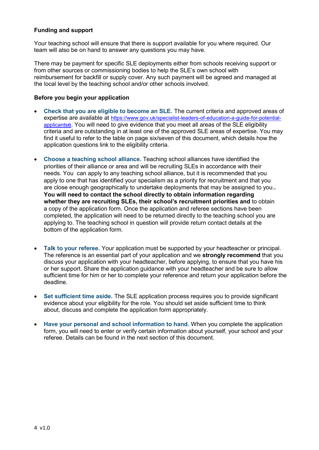#### **Funding and support**

Your teaching school will ensure that there is support available for you where required. Our team will also be on hand to answer any questions you may have.

There may be payment for specific SLE deployments either from schools receiving support or from other sources or commissioning bodies to help the SLE's own school with reimbursement for backfill or supply cover. Any such payment will be agreed and managed at the local level by the teaching school and/or other schools involved.

#### **Before you begin your application**

- **Check that you are eligible to become an SLE.** The current criteria and approved areas of expertise are available at [https://www.gov.uk/specialist-leaders-of-education-a-guide-for-potential](https://www.gov.uk/specialist-leaders-of-education-a-guide-for-potential-applicants)[applicants](https://www.gov.uk/specialist-leaders-of-education-a-guide-for-potential-applicants)e. You will need to give evidence that you meet all areas of the SLE eligibility criteria and are outstanding in at least one of the approved SLE areas of expertise. You may find it useful to refer to the table on page six/seven of this document, which details how the application questions link to the eligibility criteria.
- **Choose a teaching school alliance.** Teaching school alliances have identified the priorities of their alliance or area and will be recruiting SLEs in accordance with their needs. You can apply to any teaching school alliance, but it is recommended that you apply to one that has identified your specialism as a priority for recruitment and that you are close enough geographically to undertake deployments that may be assigned to you.**. You will need to contact the school directly to obtain information regarding whether they are recruiting SLEs, their school's recruitment priorities and** to obtain a copy of the application form. Once the application and referee sections have been completed, the application will need to be returned directly to the teaching school you are applying to. The teaching school in question will provide return contact details at the bottom of the application form.
- **Talk to your referee.** Your application must be supported by your headteacher or principal. The reference is an essential part of your application and we **strongly recommend** that you discuss your application with your headteacher, before applying, to ensure that you have his or her support. Share the application guidance with your headteacher and be sure to allow sufficient time for him or her to complete your reference and return your application before the deadline.
- **Set sufficient time aside.** The SLE application process requires you to provide significant evidence about your eligibility for the role. You should set aside sufficient time to think about, discuss and complete the application form appropriately.
- **Have your personal and school information to hand.** When you complete the application form, you will need to enter or verify certain information about yourself, your school and your referee. Details can be found in the next section of this document.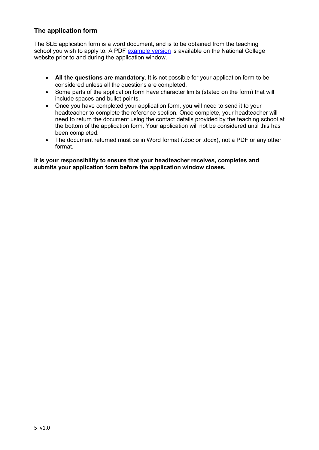#### **The application form**

The SLE application form is a word document, and is to be obtained from the teaching school you wish to apply to. A PDF [example version](https://www.gov.uk/specialist-leaders-of-education-a-guide-for-potential-applicants) is available on the National College website prior to and during the application window.

- **All the questions are mandatory**. It is not possible for your application form to be considered unless all the questions are completed.
- Some parts of the application form have character limits (stated on the form) that will include spaces and bullet points.
- Once you have completed your application form, you will need to send it to your headteacher to complete the reference section. Once complete, your headteacher will need to return the document using the contact details provided by the teaching school at the bottom of the application form. Your application will not be considered until this has been completed.
- The document returned must be in Word format (.doc or .docx), not a PDF or any other format.

**It is your responsibility to ensure that your headteacher receives, completes and submits your application form before the application window closes.**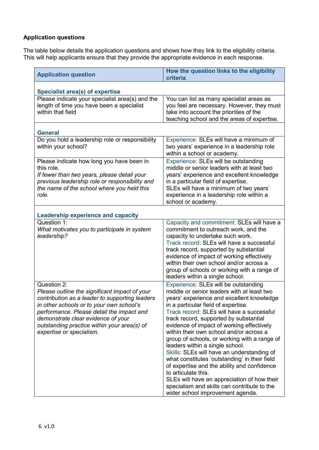#### **Application questions**

The table below details the application questions and shows how they link to the eligibility criteria. This will help applicants ensure that they provide the appropriate evidence in each response.

| <b>Application question</b>                                                                                                                                                                                                                                                                                              | How the question links to the eligibility<br>criteria                                                                                                                                                                                                                                                                                                                                                                                                                                                                                                                                                                                                                                                                                          |  |  |
|--------------------------------------------------------------------------------------------------------------------------------------------------------------------------------------------------------------------------------------------------------------------------------------------------------------------------|------------------------------------------------------------------------------------------------------------------------------------------------------------------------------------------------------------------------------------------------------------------------------------------------------------------------------------------------------------------------------------------------------------------------------------------------------------------------------------------------------------------------------------------------------------------------------------------------------------------------------------------------------------------------------------------------------------------------------------------------|--|--|
| <b>Specialist area(s) of expertise</b>                                                                                                                                                                                                                                                                                   |                                                                                                                                                                                                                                                                                                                                                                                                                                                                                                                                                                                                                                                                                                                                                |  |  |
| Please indicate your specialist area(s) and the<br>length of time you have been a specialist<br>within that field                                                                                                                                                                                                        | You can list as many specialist areas as<br>you feel are necessary. However, they must<br>take into account the priorities of the<br>teaching school and the areas of expertise.                                                                                                                                                                                                                                                                                                                                                                                                                                                                                                                                                               |  |  |
| <b>General</b>                                                                                                                                                                                                                                                                                                           |                                                                                                                                                                                                                                                                                                                                                                                                                                                                                                                                                                                                                                                                                                                                                |  |  |
| Do you hold a leadership role or responsibility<br>within your school?                                                                                                                                                                                                                                                   | Experience: SLEs will have a minimum of<br>two years' experience in a leadership role<br>within a school or academy.                                                                                                                                                                                                                                                                                                                                                                                                                                                                                                                                                                                                                           |  |  |
| Please indicate how long you have been in<br>this role.<br>If fewer than two years, please detail your<br>previous leadership role or responsibility and<br>the name of the school where you held this<br>role.                                                                                                          | Experience: SLEs will be outstanding<br>middle or senior leaders with at least two<br>years' experience and excellent knowledge<br>in a particular field of expertise.<br>SLEs will have a minimum of two years'<br>experience in a leadership role within a<br>school or academy.                                                                                                                                                                                                                                                                                                                                                                                                                                                             |  |  |
| <b>Leadership experience and capacity</b>                                                                                                                                                                                                                                                                                |                                                                                                                                                                                                                                                                                                                                                                                                                                                                                                                                                                                                                                                                                                                                                |  |  |
| Question 1:<br>What motivates you to participate in system<br>leadership?                                                                                                                                                                                                                                                | Capacity and commitment: SLEs will have a<br>commitment to outreach work, and the<br>capacity to undertake such work.<br>Track record: SLEs will have a successful<br>track record, supported by substantial<br>evidence of impact of working effectively<br>within their own school and/or across a<br>group of schools or working with a range of<br>leaders within a single school.                                                                                                                                                                                                                                                                                                                                                         |  |  |
| Question 2:<br>Please outline the significant impact of your<br>contribution as a leader to supporting leaders<br>in other schools or to your own school's<br>performance. Please detail the impact and<br>demonstrate clear evidence of your<br>outstanding practice within your area(s) of<br>expertise or specialism. | Experience: SLEs will be outstanding<br>middle or senior leaders with at least two<br>years' experience and excellent knowledge<br>in a particular field of expertise<br>Track record: SLEs will have a successful<br>track record, supported by substantial<br>evidence of impact of working effectively<br>within their own school and/or across a<br>group of schools, or working with a range of<br>leaders within a single school.<br>Skills: SLEs will have an understanding of<br>what constitutes 'outstanding' in their field<br>of expertise and the ability and confidence<br>to articulate this.<br>SLEs will have an appreciation of how their<br>specialism and skills can contribute to the<br>wider school improvement agenda. |  |  |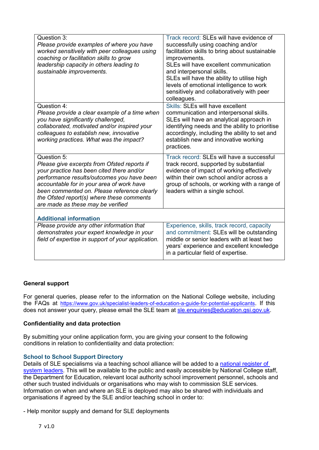| Question 3:<br>Please provide examples of where you have<br>worked sensitively with peer colleagues using<br>coaching or facilitation skills to grow<br>leadership capacity in others leading to<br>sustainable improvements.                                                                                                       | Track record: SLEs will have evidence of<br>successfully using coaching and/or<br>facilitation skills to bring about sustainable<br>improvements.<br>SLEs will have excellent communication<br>and interpersonal skills.<br>SLEs will have the ability to utilise high<br>levels of emotional intelligence to work<br>sensitively and collaboratively with peer<br>colleagues. |
|-------------------------------------------------------------------------------------------------------------------------------------------------------------------------------------------------------------------------------------------------------------------------------------------------------------------------------------|--------------------------------------------------------------------------------------------------------------------------------------------------------------------------------------------------------------------------------------------------------------------------------------------------------------------------------------------------------------------------------|
| Question 4:<br>Please provide a clear example of a time when<br>you have significantly challenged,<br>collaborated, motivated and/or inspired your<br>colleagues to establish new, innovative<br>working practices. What was the impact?                                                                                            | Skills: SLEs will have excellent<br>communication and interpersonal skills.<br>SLEs will have an analytical approach in<br>identifying needs and the ability to prioritise<br>accordingly, including the ability to set and<br>establish new and innovative working<br>practices.                                                                                              |
| Question 5:<br>Please give excerpts from Ofsted reports if<br>your practice has been cited there and/or<br>performance results/outcomes you have been<br>accountable for in your area of work have<br>been commented on. Please reference clearly<br>the Ofsted report(s) where these comments<br>are made as these may be verified | Track record: SLEs will have a successful<br>track record, supported by substantial<br>evidence of impact of working effectively<br>within their own school and/or across a<br>group of schools, or working with a range of<br>leaders within a single school.                                                                                                                 |
| <b>Additional information</b>                                                                                                                                                                                                                                                                                                       |                                                                                                                                                                                                                                                                                                                                                                                |
| Please provide any other information that<br>demonstrates your expert knowledge in your<br>field of expertise in support of your application.                                                                                                                                                                                       | Experience, skills, track record, capacity<br>and commitment: SLEs will be outstanding<br>middle or senior leaders with at least two<br>years' experience and excellent knowledge<br>in a particular field of expertise.                                                                                                                                                       |

#### **General support**

For general queries, please refer to the information on the National College website, including the FAQs at <https://www.gov.uk/specialist-leaders-of-education-a-guide-for-potential-applicants>. If this does not answer your query, please email the SLE team at [sle.enquiries@education.gsi.gov.uk.](mailto:sle.enquiries@education.gsi.gov.uk)

#### **Confidentiality and data protection**

By submitting your online application form, you are giving your consent to the following conditions in relation to confidentiality and data protection:

#### **School to School Support Directory**

Details of SLE specialisms via a teaching school alliance will be added to a national register of [system leaders.](http://apps.nationalcollege.org.uk/s2ssd_new/) This will be available to the public and easily accessible by National College staff, the Department for Education, relevant local authority school improvement personnel, schools and other such trusted individuals or organisations who may wish to commission SLE services. Information on when and where an SLE is deployed may also be shared with individuals and organisations if agreed by the SLE and/or teaching school in order to:

- Help monitor supply and demand for SLE deployments